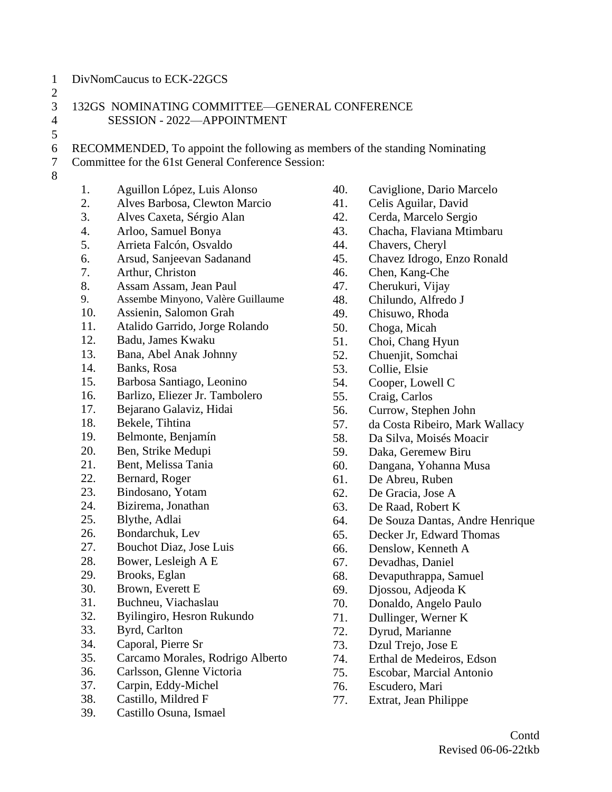# 1 DivNomCaucus to ECK-22GCS

 $\mathfrak{D}$ 

5

# 3 132GS NOMINATING COMMITTEE—GENERAL CONFERENCE 4 SESSION - 2022—APPOINTMENT

- 6 RECOMMENDED, To appoint the following as members of the standing Nominating
- 7 Committee for the 61st General Conference Session:
- 8
- 1. Aguillon López, Luis Alonso
- 2. Alves Barbosa, Clewton Marcio
- 3. Alves Caxeta, Sérgio Alan
- 4. Arloo, Samuel Bonya
- 5. Arrieta Falcón, Osvaldo
- 6. Arsud, Sanjeevan Sadanand
- 7. Arthur, Christon
- 8. Assam Assam, Jean Paul
- 9. Assembe Minyono, Valère Guillaume
- 10. Assienin, Salomon Grah
- 11. Atalido Garrido, Jorge Rolando
- 12. Badu, James Kwaku
- 13. Bana, Abel Anak Johnny
- 14. Banks, Rosa
- 15. Barbosa Santiago, Leonino
- 16. Barlizo, Eliezer Jr. Tambolero
- 17. Bejarano Galaviz, Hidai
- 18. Bekele, Tihtina
- 19. Belmonte, Benjamín
- 20. Ben, Strike Medupi
- 21. Bent, Melissa Tania
- 22. Bernard, Roger
- 23. Bindosano, Yotam
- 24. Bizirema, Jonathan
- 25. Blythe, Adlai
- 26. Bondarchuk, Lev
- 27. Bouchot Diaz, Jose Luis
- 28. Bower, Lesleigh A E
- 29. Brooks, Eglan
- 30. Brown, Everett E
- 31. Buchneu, Viachaslau
- 32. Byilingiro, Hesron Rukundo
- 33. Byrd, Carlton
- 34. Caporal, Pierre Sr
- 35. Carcamo Morales, Rodrigo Alberto
- 36. Carlsson, Glenne Victoria
- 37. Carpin, Eddy-Michel
- 38. Castillo, Mildred F
- 39. Castillo Osuna, Ismael
- 40. Caviglione, Dario Marcelo
- 41. Celis Aguilar, David
- 42. Cerda, Marcelo Sergio
- 43. Chacha, Flaviana Mtimbaru
- 44. Chavers, Cheryl
- 45. Chavez Idrogo, Enzo Ronald
- 46. Chen, Kang-Che
- 47. Cherukuri, Vijay
- 48. Chilundo, Alfredo J
- 49. Chisuwo, Rhoda
- 50. Choga, Micah
- 51. Choi, Chang Hyun
- 52. Chuenjit, Somchai
- 53. Collie, Elsie
- 54. Cooper, Lowell C
- 55. Craig, Carlos
- 56. Currow, Stephen John
- 57. da Costa Ribeiro, Mark Wallacy
- 58. Da Silva, Moisés Moacir
- 59. Daka, Geremew Biru
- 60. Dangana, Yohanna Musa
- 61. De Abreu, Ruben
- 62. De Gracia, Jose A
- 63. De Raad, Robert K
- 64. De Souza Dantas, Andre Henrique
- 65. Decker Jr, Edward Thomas
- 66. Denslow, Kenneth A
- 67. Devadhas, Daniel
- 68. Devaputhrappa, Samuel
- 69. Djossou, Adjeoda K
- 70. Donaldo, Angelo Paulo
- 71. Dullinger, Werner K
- 72. Dyrud, Marianne
- 73. Dzul Trejo, Jose E
- 74. Erthal de Medeiros, Edson
- 75. Escobar, Marcial Antonio
- 76. Escudero, Mari
- 77. Extrat, Jean Philippe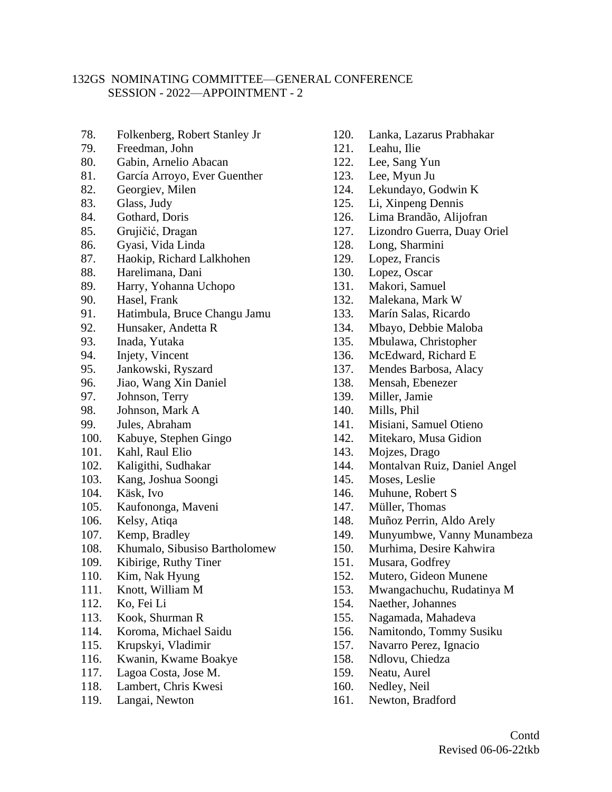## 132GS NOMINATING COMMITTEE—GENERAL CONFERENCE SESSION - 2022—APPOINTMENT - 2

- 78. Folkenberg, Robert Stanley Jr
- 79. Freedman, John
- 80. Gabin, Arnelio Abacan
- 81. García Arroyo, Ever Guenther
- 82. Georgiev, Milen
- 83. Glass, Judy
- 84. Gothard, Doris
- 85. Grujičić, Dragan
- 86. Gyasi, Vida Linda
- 87. Haokip, Richard Lalkhohen
- 88. Harelimana, Dani
- 89. Harry, Yohanna Uchopo
- 90. Hasel, Frank
- 91. Hatimbula, Bruce Changu Jamu
- 92. Hunsaker, Andetta R
- 93. Inada, Yutaka
- 94. Injety, Vincent
- 95. Jankowski, Ryszard
- 96. Jiao, Wang Xin Daniel
- 97. Johnson, Terry
- 98. Johnson, Mark A
- 99. Jules, Abraham
- 100. Kabuye, Stephen Gingo
- 101. Kahl, Raul Elio
- 102. Kaligithi, Sudhakar
- 103. Kang, Joshua Soongi
- 104. Käsk, Ivo
- 105. Kaufononga, Maveni
- 106. Kelsy, Atiqa
- 107. Kemp, Bradley
- 108. Khumalo, Sibusiso Bartholomew
- 109. Kibirige, Ruthy Tiner
- 110. Kim, Nak Hyung
- 111. Knott, William M
- 112. Ko, Fei Li
- 113. Kook, Shurman R
- 114. Koroma, Michael Saidu
- 115. Krupskyi, Vladimir
- 116. Kwanin, Kwame Boakye
- 117. Lagoa Costa, Jose M.
- 118. Lambert, Chris Kwesi
- 119. Langai, Newton
- 120. Lanka, Lazarus Prabhakar
- 121. Leahu, Ilie
- 122. Lee, Sang Yun
- 123. Lee, Myun Ju
- 124. Lekundayo, Godwin K
- 125. Li, Xinpeng Dennis
- 126. Lima Brandão, Alijofran
- 127. Lizondro Guerra, Duay Oriel
- 128. Long, Sharmini
- 129. Lopez, Francis
- 130. Lopez, Oscar
- 131. Makori, Samuel
- 132. Malekana, Mark W
- 133. Marín Salas, Ricardo
- 134. Mbayo, Debbie Maloba
- 135. Mbulawa, Christopher
- 136. McEdward, Richard E
- 137. Mendes Barbosa, Alacy
- 138. Mensah, Ebenezer
- 139. Miller, Jamie
- 140. Mills, Phil
- 141. Misiani, Samuel Otieno
- 142. Mitekaro, Musa Gidion
- 143. Mojzes, Drago
- 144. Montalvan Ruiz, Daniel Angel
- 145. Moses, Leslie
- 146. Muhune, Robert S
- 147. Müller, Thomas
- 148. Muñoz Perrin, Aldo Arely
- 149. Munyumbwe, Vanny Munambeza
- 150. Murhima, Desire Kahwira
- 151. Musara, Godfrey
- 152. Mutero, Gideon Munene
- 153. Mwangachuchu, Rudatinya M
- 154. Naether, Johannes
- 155. Nagamada, Mahadeva
- 156. Namitondo, Tommy Susiku
- 157. Navarro Perez, Ignacio
- 158. Ndlovu, Chiedza
- 159. Neatu, Aurel
- 160. Nedley, Neil
- 161. Newton, Bradford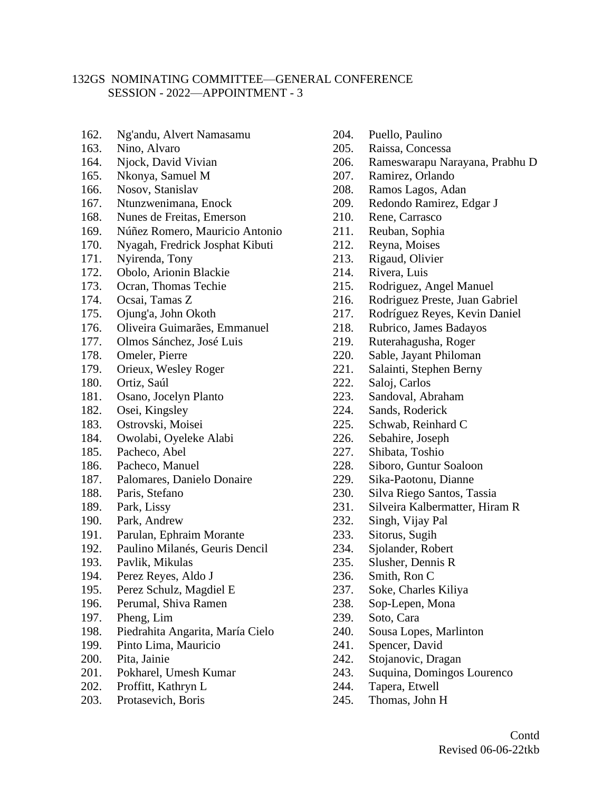## 132GS NOMINATING COMMITTEE—GENERAL CONFERENCE SESSION - 2022—APPOINTMENT - 3

- 162. Ng'andu, Alvert Namasamu
- 163. Nino, Alvaro
- 164. Njock, David Vivian
- 165. Nkonya, Samuel M
- 166. Nosov, Stanislav
- 167. Ntunzwenimana, Enock
- 168. Nunes de Freitas, Emerson
- 169. Núñez Romero, Mauricio Antonio
- 170. Nyagah, Fredrick Josphat Kibuti
- 171. Nyirenda, Tony
- 172. Obolo, Arionin Blackie
- 173. Ocran, Thomas Techie
- 174. Ocsai, Tamas Z
- 175. Ojung'a, John Okoth
- 176. Oliveira Guimarães, Emmanuel
- 177. Olmos Sánchez, José Luis
- 178. Omeler, Pierre
- 179. Orieux, Wesley Roger
- 180. Ortiz, Saúl
- 181. Osano, Jocelyn Planto
- 182. Osei, Kingsley
- 183. Ostrovski, Moisei
- 184. Owolabi, Oyeleke Alabi
- 185. Pacheco, Abel
- 186. Pacheco, Manuel
- 187. Palomares, Danielo Donaire
- 188. Paris, Stefano
- 189. Park, Lissy
- 190. Park, Andrew
- 191. Parulan, Ephraim Morante
- 192. Paulino Milanés, Geuris Dencil
- 193. Pavlik, Mikulas
- 194. Perez Reyes, Aldo J
- 195. Perez Schulz, Magdiel E
- 196. Perumal, Shiva Ramen
- 197. Pheng, Lim
- 198. Piedrahita Angarita, María Cielo
- 199. Pinto Lima, Mauricio
- 200. Pita, Jainie
- 201. Pokharel, Umesh Kumar
- 202. Proffitt, Kathryn L
- 203. Protasevich, Boris
- 204. Puello, Paulino
- 205. Raissa, Concessa
- 206. Rameswarapu Narayana, Prabhu D
- 207. Ramirez, Orlando
- 208. Ramos Lagos, Adan
- 209. Redondo Ramirez, Edgar J
- 210. Rene, Carrasco
- 211. Reuban, Sophia
- 212. Reyna, Moises
- 213. Rigaud, Olivier
- 214. Rivera, Luis
- 215. Rodriguez, Angel Manuel
- 216. Rodriguez Preste, Juan Gabriel
- 217. Rodríguez Reyes, Kevin Daniel
- 218. Rubrico, James Badayos
- 219. Ruterahagusha, Roger
- 220. Sable, Jayant Philoman
- 221. Salainti, Stephen Berny
- 222. Saloj, Carlos
- 223. Sandoval, Abraham
- 224. Sands, Roderick
- 225. Schwab, Reinhard C
- 226. Sebahire, Joseph
- 227. Shibata, Toshio
- 228. Siboro, Guntur Soaloon
- 229. Sika-Paotonu, Dianne
- 230. Silva Riego Santos, Tassia
- 231. Silveira Kalbermatter, Hiram R
- 232. Singh, Vijay Pal
- 233. Sitorus, Sugih
- 234. Sjolander, Robert
- 235. Slusher, Dennis R
- 236. Smith, Ron C
- 237. Soke, Charles Kiliya
- 238. Sop-Lepen, Mona
- 239. Soto, Cara
- 240. Sousa Lopes, Marlinton
- 241. Spencer, David
- 242. Stojanovic, Dragan
- 243. Suquina, Domingos Lourenco
- 244. Tapera, Etwell
- 245. Thomas, John H